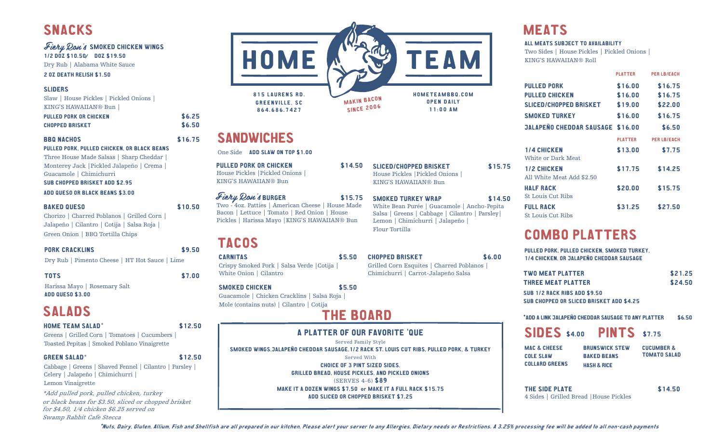## Fiery Ron's SMOKED CHICKEN WINGS

1/2 DOZ \$10.50 DOZ \$19.50 Dry Rub | Alabama White Sauce

2 OZ DEATH RELISH \$1.50

## SLIDERS

Slaw | House Pickles | Pickled Onions | KING'S HAWAIIAN® Bun |

| PULLED PORK OR CHICKEN | \$6.25 |
|------------------------|--------|
| <b>CHOPPED BRISKET</b> | \$6.50 |

## BBQ NACHOS \$16.75

PULLED PORK, PULLED CHICKEN, OR BLACK BEANS Three House Made Salsas | Sharp Cheddar | Monterey Jack |Pickled Jalapeño | Crema |

Guacamole | Chimichurri

## SUB CHOPPED BRISKET ADD \$2.95

ADD QUESO OR BLACK BEANS \$3.00

### BAKED QUESO \$10.50

Chorizo | Charred Poblanos | Grilled Corn | Jalapeño | Cilantro | Cotija | Salsa Roja | Green Onion | BBQ Tortilla Chips

| <b>PORK CRACKLINS</b> | \$9.50 |
|-----------------------|--------|
|                       |        |

Dry Rub | Pimento Cheese | HT Hot Sauce | Lime

TOTS \$7.00

Harissa Mayo | Rosemary Salt ADD QUESO \$3.00

# SALADS

### HOME TEAM SALAD\* \$12.50

Greens | Grilled Corn | Tomatoes | Cucumbers | Toasted Pepitas | Smoked Poblano Vinaigrette

### GREEN SALAD<sup>\*</sup> \$12.50

Cabbage | Greens | Shaved Fennel | Cilantro | Parsley | Celery | Jalapeño | Chimichurri | Lemon Vinaigrette

\*Add pulled pork, pulled chicken, turkey or black beans for \$3.50, sliced or chopped brisket for \$4.50, 1/4 chicken \$6.25 served on Swamp Rabbit Cafe Stecca



## SANDWICHES

One Side ADD SLAW ON TOP \$1.00

PULLED PORK OR CHICKEN \$14.50 House Pickles |Pickled Onions | KING'S HAWAIIAN® Bun

Fiery Don's BURGER \$15.75 Two - 4oz. Patties | American Cheese | House Made Bacon | Lettuce | Tomato | Red Onion | House Pickles | Harissa Mayo |KING'S HAWAIIAN® Bun

## **TACOS**

CARNITAS \$5.50 Crispy Smoked Pork | Salsa Verde |Cotija | White Onion | Cilantro

SMOKED CHICKEN \$5.50 Guacamole | Chicken Cracklins | Salsa Roja | Mole (contains nuts) | Cilantro | Cotija

## THE BOARD

## A PLATTER OF OUR FAVORITE 'QUE

Served Family Style

SMOKED WINGS,JALAPEÑO CHEDDAR SAUSAGE,1/2 RACK ST. LOUIS CUT RIBS, PULLED PORK, & TURKEY Served With CHOICE OF 3 PINT SIZED SIDES, GRILLED BREAD, HOUSE PICKLES, AND PICKLED ONIONS

(SERVES 4-6) \$89 MAKE IT A DOZEN WINGS \$7.50 or MAKE IT A FULL RACK \$15.75 ADD SLICED OR CHOPPED BRISKET \$7.25

### ALL MEATS SUBJECT TO AVAILABILITY

Two Sides | House Pickles | Pickled Onions | KING'S HAWAIIAN® Roll

|                                                 | <b>PLATTER</b> | <b>PER LB/EACH</b> |
|-------------------------------------------------|----------------|--------------------|
| <b>PULLED PORK</b>                              | \$16.00        | \$16.75            |
| <b>PULLED CHICKEN</b>                           | \$16.00        | \$16.75            |
| <b>SLICED/CHOPPED BRISKET</b>                   | \$19.00        | \$22.00            |
| <b>SMOKED TURKEY</b>                            | \$16.00        | \$16.75            |
| <b>JALAPEÑO CHEDDAR SAUSAGE \$16.00</b>         |                | \$6.50             |
|                                                 | <b>PLATTER</b> | <b>PER LB/EACH</b> |
| <b>1/4 CHICKEN</b><br>White or Dark Meat        | \$13.00        | \$7.75             |
| <b>1/2 CHICKEN</b><br>All White Meat Add \$2.50 | \$17.75        | \$14.25            |
| <b>HALF RACK</b><br><b>St Louis Cut Ribs</b>    | \$20.00        | \$15.75            |
| <b>FULL RACK</b><br><b>St Louis Cut Ribs</b>    | \$31.25        | \$27.50            |

## COMBO PLATTERS

PULLED PORK, PULLED CHICKEN, SMOKED TURKEY, 1/4 CHICKEN, OR JALAPEÑO CHEDDAR SAUSAGE

| TWO MEAT PLATTER                    | \$21.25 |
|-------------------------------------|---------|
| <b>THREE MEAT PLATTER</b>           | \$24.50 |
| <b>SUB 1/2 RACK RIBS ADD \$9.50</b> |         |

SUB CHOPPED OR SLICED BRISKET ADD \$4.25

### \*ADD A LINK JALAPEÑO CHEDDAR SAUSAGE TO ANY PLATTER \$6.50

| <b>SIDES</b> \$4.00 |  | <b>PINTS</b> \$7.75 |  |
|---------------------|--|---------------------|--|
|---------------------|--|---------------------|--|

MAC & CHEESE COLE SLAW COLLARD GREENS BRUNSWICK STEW BAKED BEANS HASH & RICE

CUCUMBER & TOMATO SALAD

THE SIDE PLATE \$14.50 4 Sides | Grilled Bread |House Pickles

\*Nuts, Dairy, Gluten, Allium, Fish and Shellfish are all prepared in our kitchen, Please alert your server to any Allergies, Dietary needs or Restrictions. A 3.25% processing fee will be added to all non-cash payments

CHOPPED BRISKET \$6.00 Grilled Corn Esquites | Charred Poblanos | Chimichurri | Carrot-Jalapeño Salsa

SLICED/CHOPPED BRISKET \$15.75

SMOKED TURKEY WRAP \$14.50 White Bean Purée | Guacamole | Ancho-Pepita Salsa | Greens | Cabbage | Cilantro | Parsley|

House Pickles |Pickled Onions | KING'S HAWAIIAN® Bun

Lemon | Chimichurri | Jalapeño |

Flour Tortilla